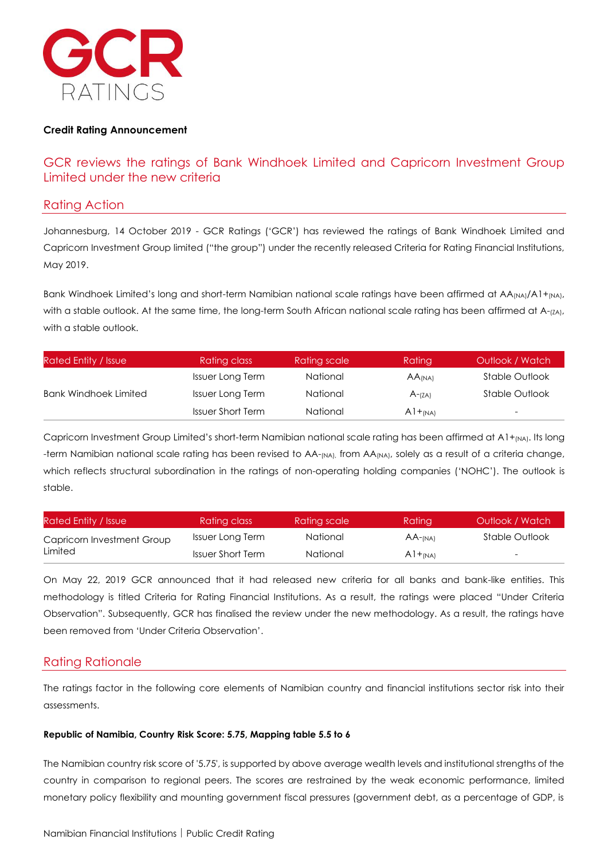

#### **Credit Rating Announcement**

# GCR reviews the ratings of Bank Windhoek Limited and Capricorn Investment Group Limited under the new criteria

#### Rating Action

Johannesburg, 14 October 2019 - GCR Ratings ('GCR') has reviewed the ratings of Bank Windhoek Limited and Capricorn Investment Group limited ("the group") under the recently released Criteria for Rating Financial Institutions, May 2019.

Bank Windhoek Limited's long and short-term Namibian national scale ratings have been affirmed at  $AA_{(NA)}/A1+_{(NA)}$ , with a stable outlook. At the same time, the long-term South African national scale rating has been affirmed at A-(ZA), with a stable outlook.

| <b>Rated Entity / Issue</b>  | Rating class             | Rating scale | Rating               | Outlook / Watch          |
|------------------------------|--------------------------|--------------|----------------------|--------------------------|
|                              | <b>Issuer Long Term</b>  | National     | $AA$ <sub>(NA)</sub> | Stable Outlook           |
| <b>Bank Windhoek Limited</b> | <b>Issuer Long Term</b>  | National     | $A$ - $(ZA)$         | Stable Outlook           |
|                              | <b>Issuer Short Term</b> | National     | $A1+_{(NA)}$         | $\overline{\phantom{a}}$ |

Capricorn Investment Group Limited's short-term Namibian national scale rating has been affirmed at A1+<sub>(NA)</sub>. Its long -term Namibian national scale rating has been revised to AA-<sub>(NA)</sub>, from AA<sub>(NA)</sub>, solely as a result of a criteria change, which reflects structural subordination in the ratings of non-operating holding companies ('NOHC'). The outlook is stable.

| Rated Entity / Issue       | Rating class             | Rating scale | Ratina        | Outlook / Watch          |
|----------------------------|--------------------------|--------------|---------------|--------------------------|
| Capricorn Investment Group | Issuer Long Term         | National     | $AA$ - $(NA)$ | Stable Outlook           |
| Limited                    | <b>Issuer Short Term</b> | National     | $A1+_{(NA)}$  | $\overline{\phantom{0}}$ |

On May 22, 2019 GCR announced that it had released new criteria for all banks and bank-like entities. This methodology is titled Criteria for Rating Financial Institutions. As a result, the ratings were placed "Under Criteria Observation". Subsequently, GCR has finalised the review under the new methodology. As a result, the ratings have been removed from 'Under Criteria Observation'.

### Rating Rationale

The ratings factor in the following core elements of Namibian country and financial institutions sector risk into their assessments.

#### **Republic of Namibia, Country Risk Score: 5.75, Mapping table 5.5 to 6**

The Namibian country risk score of '5.75', is supported by above average wealth levels and institutional strengths of the country in comparison to regional peers. The scores are restrained by the weak economic performance, limited monetary policy flexibility and mounting government fiscal pressures (government debt, as a percentage of GDP, is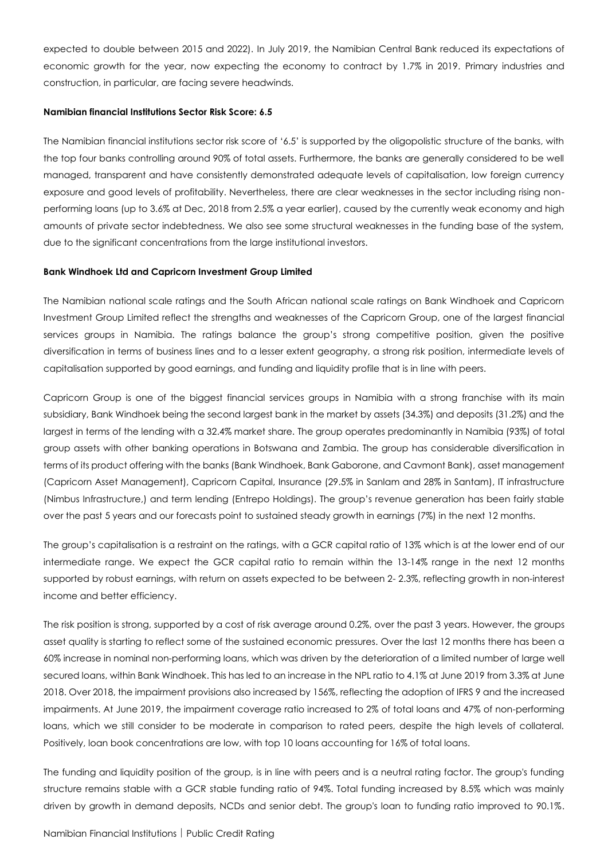expected to double between 2015 and 2022). In July 2019, the Namibian Central Bank reduced its expectations of economic growth for the year, now expecting the economy to contract by 1.7% in 2019. Primary industries and construction, in particular, are facing severe headwinds.

#### **Namibian financial Institutions Sector Risk Score: 6.5**

The Namibian financial institutions sector risk score of '6.5' is supported by the oligopolistic structure of the banks, with the top four banks controlling around 90% of total assets. Furthermore, the banks are generally considered to be well managed, transparent and have consistently demonstrated adequate levels of capitalisation, low foreign currency exposure and good levels of profitability. Nevertheless, there are clear weaknesses in the sector including rising nonperforming loans (up to 3.6% at Dec, 2018 from 2.5% a year earlier), caused by the currently weak economy and high amounts of private sector indebtedness. We also see some structural weaknesses in the funding base of the system, due to the significant concentrations from the large institutional investors.

#### **Bank Windhoek Ltd and Capricorn Investment Group Limited**

The Namibian national scale ratings and the South African national scale ratings on Bank Windhoek and Capricorn Investment Group Limited reflect the strengths and weaknesses of the Capricorn Group, one of the largest financial services groups in Namibia. The ratings balance the group's strong competitive position, given the positive diversification in terms of business lines and to a lesser extent geography, a strong risk position, intermediate levels of capitalisation supported by good earnings, and funding and liquidity profile that is in line with peers.

Capricorn Group is one of the biggest financial services groups in Namibia with a strong franchise with its main subsidiary, Bank Windhoek being the second largest bank in the market by assets (34.3%) and deposits (31.2%) and the largest in terms of the lending with a 32.4% market share. The group operates predominantly in Namibia (93%) of total group assets with other banking operations in Botswana and Zambia. The group has considerable diversification in terms of its product offering with the banks (Bank Windhoek, Bank Gaborone, and Cavmont Bank), asset management (Capricorn Asset Management), Capricorn Capital, Insurance (29.5% in Sanlam and 28% in Santam), IT infrastructure (Nimbus Infrastructure,) and term lending (Entrepo Holdings). The group's revenue generation has been fairly stable over the past 5 years and our forecasts point to sustained steady growth in earnings (7%) in the next 12 months.

The group's capitalisation is a restraint on the ratings, with a GCR capital ratio of 13% which is at the lower end of our intermediate range. We expect the GCR capital ratio to remain within the 13-14% range in the next 12 months supported by robust earnings, with return on assets expected to be between 2- 2.3%, reflecting growth in non-interest income and better efficiency.

The risk position is strong, supported by a cost of risk average around 0.2%, over the past 3 years. However, the groups asset quality is starting to reflect some of the sustained economic pressures. Over the last 12 months there has been a 60% increase in nominal non-performing loans, which was driven by the deterioration of a limited number of large well secured loans, within Bank Windhoek. This has led to an increase in the NPL ratio to 4.1% at June 2019 from 3.3% at June 2018. Over 2018, the impairment provisions also increased by 156%, reflecting the adoption of IFRS 9 and the increased impairments. At June 2019, the impairment coverage ratio increased to 2% of total loans and 47% of non-performing loans, which we still consider to be moderate in comparison to rated peers, despite the high levels of collateral. Positively, loan book concentrations are low, with top 10 loans accounting for 16% of total loans.

The funding and liquidity position of the group, is in line with peers and is a neutral rating factor. The group's funding structure remains stable with a GCR stable funding ratio of 94%. Total funding increased by 8.5% which was mainly driven by growth in demand deposits, NCDs and senior debt. The group's loan to funding ratio improved to 90.1%.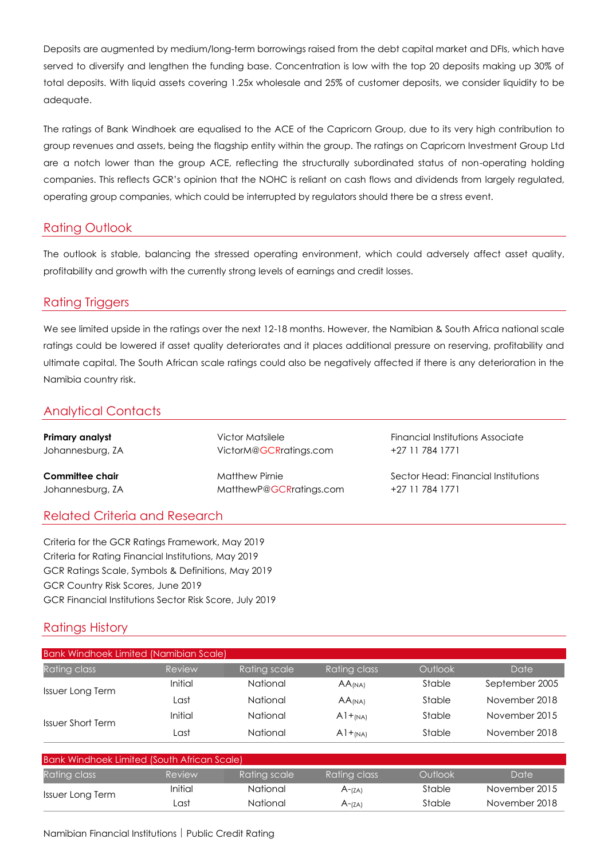Deposits are augmented by medium/long-term borrowings raised from the debt capital market and DFIs, which have served to diversify and lengthen the funding base. Concentration is low with the top 20 deposits making up 30% of total deposits. With liquid assets covering 1.25x wholesale and 25% of customer deposits, we consider liquidity to be adequate.

The ratings of Bank Windhoek are equalised to the ACE of the Capricorn Group, due to its very high contribution to group revenues and assets, being the flagship entity within the group. The ratings on Capricorn Investment Group Ltd are a notch lower than the group ACE, reflecting the structurally subordinated status of non-operating holding companies. This reflects GCR's opinion that the NOHC is reliant on cash flows and dividends from largely regulated, operating group companies, which could be interrupted by regulators should there be a stress event.

### Rating Outlook

The outlook is stable, balancing the stressed operating environment, which could adversely affect asset quality, profitability and growth with the currently strong levels of earnings and credit losses.

### Rating Triggers

We see limited upside in the ratings over the next 12-18 months. However, the Namibian & South Africa national scale ratings could be lowered if asset quality deteriorates and it places additional pressure on reserving, profitability and ultimate capital. The South African scale ratings could also be negatively affected if there is any deterioration in the Namibia country risk.

### Analytical Contacts

Johannesburg, ZA [MatthewP@GCRratings.com](mailto:MatthewP@GCRratings.com) +27 11 784 1771

Johannesburg, ZA VictorM@GCRratings.com +27 11 784 1771

**Primary analyst The Community Contract Victor Matsilele Financial Institutions Associate** 

**Committee chair Matthew Pirnie Sector Head: Financial Institutions** 

### Related Criteria and Research

Criteria for the GCR Ratings Framework, May 2019 Criteria for Rating Financial Institutions, May 2019 GCR Ratings Scale, Symbols & Definitions, May 2019 GCR Country Risk Scores, June 2019 GCR Financial Institutions Sector Risk Score, July 2019

# Ratings History

| <b>Bank Windhoek Limited (Namibian Scale)</b> |         |              |                      |         |                |
|-----------------------------------------------|---------|--------------|----------------------|---------|----------------|
| <b>Rating class</b>                           | Review  | Rating scale | Rating class         | Outlook | Date           |
| <b>Issuer Long Term</b>                       | Initial | National     | $AA$ <sub>(NA)</sub> | Stable  | September 2005 |
|                                               | Last    | National     | $AA$ <sub>(NA)</sub> | Stable  | November 2018  |
| <b>Issuer Short Term</b>                      | Initial | National     | $A1+_{(NA)}$         | Stable  | November 2015  |
|                                               | Last    | National     | $A1+_{(NA)}$         | Stable  | November 2018  |

| <b>Bank Windhoek Limited (South African Scale)</b> |         |              |              |         |               |
|----------------------------------------------------|---------|--------------|--------------|---------|---------------|
| <b>Rating class</b>                                | Review  | Rating scale | Rating class | Outlook | Date          |
| Issuer Long Term                                   | Initial | National     | $A$ - $(ZA)$ | Stable  | November 2015 |
|                                                    | Last    | National     | $A - (ZA)$   | Stable  | November 2018 |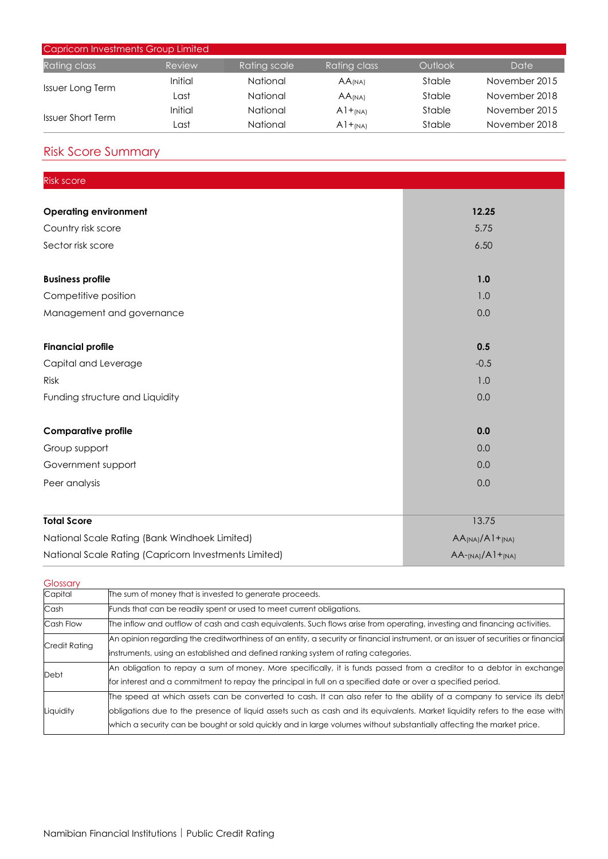| Capricorn Investments Group Limited |         |              |                      |         |               |
|-------------------------------------|---------|--------------|----------------------|---------|---------------|
| Rating class                        | Review  | Rating scale | Rating class         | Outlook | Date          |
| <b>Issuer Long Term</b>             | Initial | National     | AA <sub>(NA)</sub>   | Stable  | November 2015 |
|                                     | Last    | National     | $AA$ <sub>(NA)</sub> | Stable  | November 2018 |
| <b>Issuer Short Term</b>            | Initial | National     | $A1+_{(NA)}$         | Stable  | November 2015 |
|                                     | Last    | National     | $A1+_{(NA)}$         | Stable  | November 2018 |

# Risk Score Summary

| <b>Risk score</b>                                     |                                                   |
|-------------------------------------------------------|---------------------------------------------------|
|                                                       |                                                   |
| <b>Operating environment</b>                          | 12.25                                             |
| Country risk score                                    | 5.75                                              |
| Sector risk score                                     | 6.50                                              |
| <b>Business profile</b>                               | 1.0                                               |
| Competitive position                                  | 1.0                                               |
| Management and governance                             | 0.0                                               |
| <b>Financial profile</b>                              | 0.5                                               |
| Capital and Leverage                                  | $-0.5$                                            |
| Risk                                                  | 1.0                                               |
| Funding structure and Liquidity                       | 0.0                                               |
| <b>Comparative profile</b>                            | 0.0                                               |
| Group support                                         | 0.0                                               |
| Government support                                    | 0.0                                               |
| Peer analysis                                         | 0.0                                               |
| <b>Total Score</b>                                    | 13.75                                             |
| National Scale Rating (Bank Windhoek Limited)         |                                                   |
| National Scale Rating (Capricorn Investments Limited) | $AA_{(NA)}/A1+_{(NA)}$<br>$AA-_{(NA)}/A1+_{(NA)}$ |

| Glossary      |                                                                                                                                                                                                                                                                                                                                                                               |
|---------------|-------------------------------------------------------------------------------------------------------------------------------------------------------------------------------------------------------------------------------------------------------------------------------------------------------------------------------------------------------------------------------|
| Capital       | The sum of money that is invested to generate proceeds.                                                                                                                                                                                                                                                                                                                       |
| Cash          | Funds that can be readily spent or used to meet current obligations.                                                                                                                                                                                                                                                                                                          |
| Cash Flow     | The inflow and outflow of cash and cash equivalents. Such flows arise from operating, investing and financing activities.                                                                                                                                                                                                                                                     |
| Credit Rating | An opinion regarding the creditworthiness of an entity, a security or financial instrument, or an issuer of securities or financial<br>instruments, using an established and defined ranking system of rating categories.                                                                                                                                                     |
| Debt          | An obligation to repay a sum of money. More specifically, it is funds passed from a creditor to a debtor in exchange<br>for interest and a commitment to repay the principal in full on a specified date or over a specified period.                                                                                                                                          |
| Liquidity     | The speed at which assets can be converted to cash. It can also refer to the ability of a company to service its debt<br>obligations due to the presence of liquid assets such as cash and its equivalents. Market liquidity refers to the ease with<br>which a security can be bought or sold quickly and in large volumes without substantially affecting the market price. |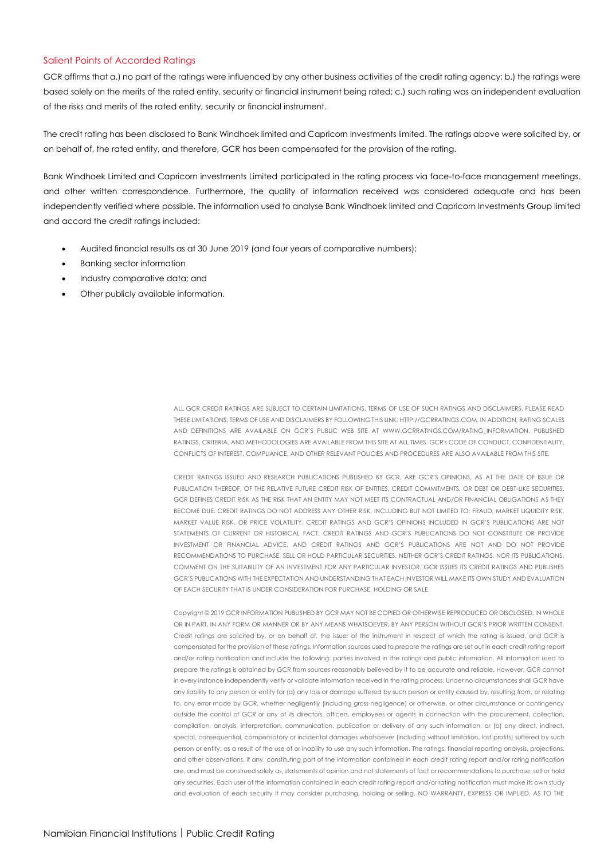#### Salient Points of Accorded Ratings

GCR affirms that a.) no part of the ratings were influenced by any other business activities of the credit rating agency; b.) the ratings were based solely on the merits of the rated entity, security or financial instrument being rated; c.) such rating was an independent evaluation of the risks and merits of the rated entity, security or financial instrument.

The credit rating has been disclosed to Bank Windhoek limited and Capricorn Investments limited. The ratings above were solicited by, or on behalf of, the rated entity, and therefore, GCR has been compensated for the provision of the rating.

Bank Windhoek Limited and Capricorn investments Limited participated in the rating process via face-to-face management meetings, and other written correspondence. Furthermore, the quality of information received was considered adequate and has been independently verified where possible. The information used to analyse Bank Windhoek limited and Capricorn Investments Group limited and accord the credit ratings included:

- Audited financial results as at 30 June 2019 (and four years of comparative numbers);
- Banking sector information
- Industry comparative data; and
- Other publicly available information.

ALL GCR CREDIT RATINGS ARE SUBJECT TO CERTAIN LIMITATIONS, TERMS OF USE OF SUCH RATINGS AND DISCLAIMERS. PLEASE READ THESE LIMITATIONS, TERMS OF USE AND DISCLAIMERS BY FOLLOWING THIS LINK[: HTTP://GCRRATINGS.COM.](http://gcrratings.com/) IN ADDITION, RATING SCALES AND DEFINITIONS ARE AVAILABLE ON GCR'S PUBLIC WEB SITE AT [WWW.GCRRATINGS.COM/RATING\\_INFORMATION.](http://www.gcrratings.com/RATING_INFORMATION) PUBLISHED RATINGS, CRITERIA, AND METHODOLOGIES ARE AVAILABLE FROM THIS SITE AT ALL TIMES. GCR's CODE OF CONDUCT, CONFIDENTIALITY, CONFLICTS OF INTEREST, COMPLIANCE, AND OTHER RELEVANT POLICIES AND PROCEDURES ARE ALSO AVAILABLE FROM THIS SITE.

CREDIT RATINGS ISSUED AND RESEARCH PUBLICATIONS PUBLISHED BY GCR, ARE GCR'S OPINIONS, AS AT THE DATE OF ISSUE OR PUBLICATION THEREOF, OF THE RELATIVE FUTURE CREDIT RISK OF ENTITIES, CREDIT COMMITMENTS, OR DEBT OR DEBT-LIKE SECURITIES. GCR DEFINES CREDIT RISK AS THE RISK THAT AN ENTITY MAY NOT MEET ITS CONTRACTUAL AND/OR FINANCIAL OBLIGATIONS AS THEY BECOME DUE. CREDIT RATINGS DO NOT ADDRESS ANY OTHER RISK, INCLUDING BUT NOT LIMITED TO: FRAUD, MARKET LIQUIDITY RISK MARKET VALUE RISK, OR PRICE VOLATILITY. CREDIT RATINGS AND GCR'S OPINIONS INCLUDED IN GCR'S PUBLICATIONS ARE NOT STATEMENTS OF CURRENT OR HISTORICAL FACT. CREDIT RATINGS AND GCR'S PUBLICATIONS DO NOT CONSTITUTE OR PROVIDE INVESTMENT OR FINANCIAL ADVICE, AND CREDIT RATINGS AND GCR'S PUBLICATIONS ARE NOT AND DO NOT PROVIDE RECOMMENDATIONS TO PURCHASE, SELL OR HOLD PARTICULAR SECURITIES. NEITHER GCR'S CREDIT RATINGS, NOR ITS PUBLICATIONS, COMMENT ON THE SUITABILITY OF AN INVESTMENT FOR ANY PARTICULAR INVESTOR. GCR ISSUES ITS CREDIT RATINGS AND PUBLISHES GCR'S PUBLICATIONS WITH THE EXPECTATION AND UNDERSTANDING THAT EACH INVESTOR WILL MAKE ITS OWN STUDY AND EVALUATION OF EACH SECURITY THAT IS UNDER CONSIDERATION FOR PURCHASE, HOLDING OR SALE.

Copyright © 2019 GCR INFORMATION PUBLISHED BY GCR MAY NOT BE COPIED OR OTHERWISE REPRODUCED OR DISCLOSED, IN WHOLE OR IN PART, IN ANY FORM OR MANNER OR BY ANY MEANS WHATSOEVER, BY ANY PERSON WITHOUT GCR'S PRIOR WRITTEN CONSENT. Credit ratings are solicited by, or on behalf of, the issuer of the instrument in respect of which the rating is issued, and GCR is compensated for the provision of these ratings. Information sources used to prepare the ratings are set out in each credit rating report and/or rating notification and include the following: parties involved in the ratings and public information. All information used to prepare the ratings is obtained by GCR from sources reasonably believed by it to be accurate and reliable. However, GCR cannot in every instance independently verify or validate information received in the rating process. Under no circumstances shall GCR have any liability to any person or entity for (a) any loss or damage suffered by such person or entity caused by, resulting from, or relating to, any error made by GCR, whether negligently (including gross negligence) or otherwise, or other circumstance or contingency outside the control of GCR or any of its directors, officers, employees or agents in connection with the procurement, collection, compilation, analysis, interpretation, communication, publication or delivery of any such information, or (b) any direct, indirect, special, consequential, compensatory or incidental damages whatsoever (including without limitation, lost profits) suffered by such person or entity, as a result of the use of or inability to use any such information. The ratings, financial reporting analysis, projections, and other observations, if any, constituting part of the information contained in each credit rating report and/or rating notification are, and must be construed solely as, statements of opinion and not statements of fact or recommendations to purchase, sell or hold any securities. Each user of the information contained in each credit rating report and/or rating notification must make its own study and evaluation of each security it may consider purchasing, holding or selling. NO WARRANTY, EXPRESS OR IMPLIED, AS TO THE